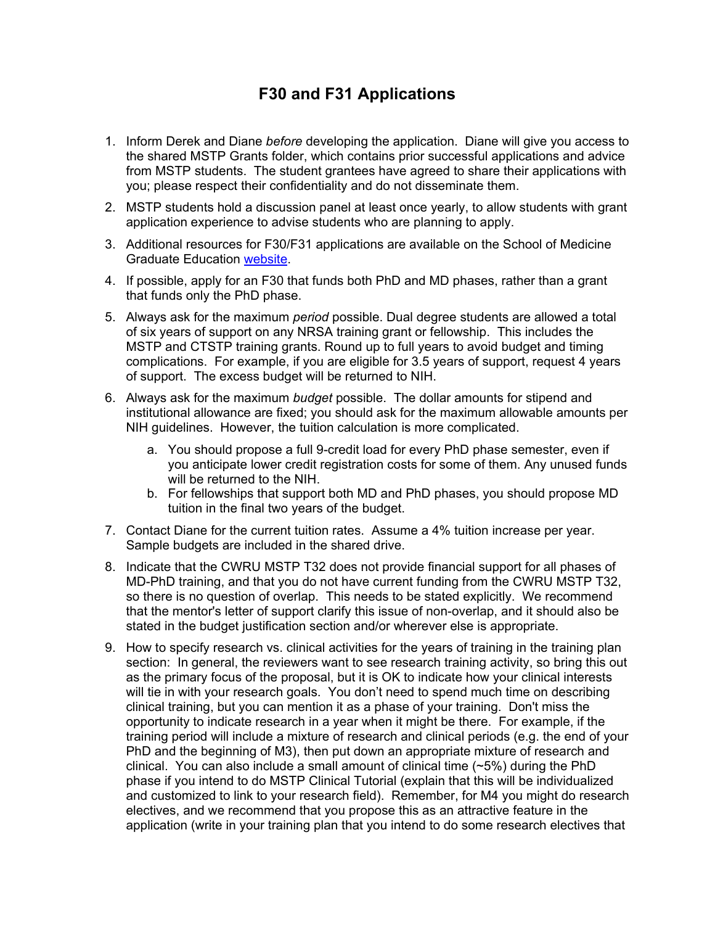## **F30 and F31 Applications**

- 1. Inform Derek and Diane *before* developing the application. Diane will give you access to the shared MSTP Grants folder, which contains prior successful applications and advice from MSTP students. The student grantees have agreed to share their applications with you; please respect their confidentiality and do not disseminate them.
- 2. MSTP students hold a discussion panel at least once yearly, to allow students with grant application experience to advise students who are planning to apply.
- 3. Additional resources for F30/F31 applications are available on the School of Medicine Graduate Education website.
- 4. If possible, apply for an F30 that funds both PhD and MD phases, rather than a grant that funds only the PhD phase.
- 5. Always ask for the maximum *period* possible. Dual degree students are allowed a total of six years of support on any NRSA training grant or fellowship. This includes the MSTP and CTSTP training grants. Round up to full years to avoid budget and timing complications. For example, if you are eligible for 3.5 years of support, request 4 years of support. The excess budget will be returned to NIH.
- 6. Always ask for the maximum *budget* possible. The dollar amounts for stipend and institutional allowance are fixed; you should ask for the maximum allowable amounts per NIH guidelines. However, the tuition calculation is more complicated.
	- a. You should propose a full 9-credit load for every PhD phase semester, even if you anticipate lower credit registration costs for some of them. Any unused funds will be returned to the NIH.
	- b. For fellowships that support both MD and PhD phases, you should propose MD tuition in the final two years of the budget.
- 7. Contact Diane for the current tuition rates. Assume a 4% tuition increase per year. Sample budgets are included in the shared drive.
- 8. Indicate that the CWRU MSTP T32 does not provide financial support for all phases of MD-PhD training, and that you do not have current funding from the CWRU MSTP T32, so there is no question of overlap. This needs to be stated explicitly. We recommend that the mentor's letter of support clarify this issue of non-overlap, and it should also be stated in the budget justification section and/or wherever else is appropriate.
- 9. How to specify research vs. clinical activities for the years of training in the training plan section: In general, the reviewers want to see research training activity, so bring this out as the primary focus of the proposal, but it is OK to indicate how your clinical interests will tie in with your research goals. You don't need to spend much time on describing clinical training, but you can mention it as a phase of your training. Don't miss the opportunity to indicate research in a year when it might be there. For example, if the training period will include a mixture of research and clinical periods (e.g. the end of your PhD and the beginning of M3), then put down an appropriate mixture of research and clinical. You can also include a small amount of clinical time  $(\sim5\%)$  during the PhD phase if you intend to do MSTP Clinical Tutorial (explain that this will be individualized and customized to link to your research field). Remember, for M4 you might do research electives, and we recommend that you propose this as an attractive feature in the application (write in your training plan that you intend to do some research electives that